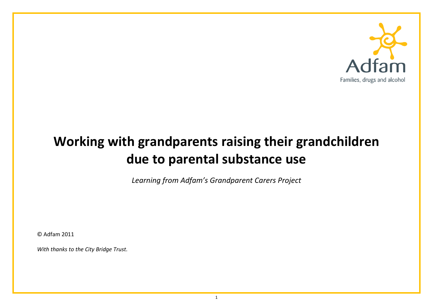

# **Working with grandparents raising their grandchildren due to parental substance use**

*Learning from Adfam's Grandparent Carers Project*

© Adfam 2011

*With thanks to the City Bridge Trust.*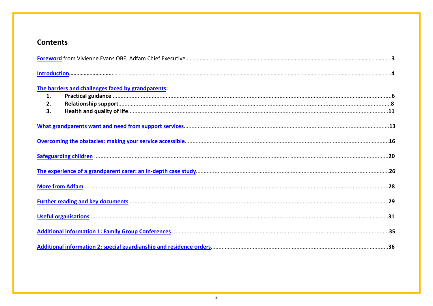# **Contents**

|    | The barriers and challenges faced by grandparents: |  |
|----|----------------------------------------------------|--|
| 1. |                                                    |  |
| 2. |                                                    |  |
| 3. |                                                    |  |
|    |                                                    |  |
|    |                                                    |  |
|    |                                                    |  |
|    |                                                    |  |
|    |                                                    |  |
|    |                                                    |  |
|    |                                                    |  |
|    |                                                    |  |
|    |                                                    |  |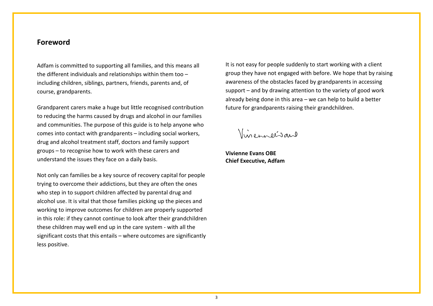# <span id="page-2-0"></span>**Foreword**

Adfam is committed to supporting all families, and this means all the different individuals and relationships within them too – including children, siblings, partners, friends, parents and, of course, grandparents.

Grandparent carers make a huge but little recognised contribution to reducing the harms caused by drugs and alcohol in our families and communities. The purpose of this guide is to help anyone who comes into contact with grandparents – including social workers, drug and alcohol treatment staff, doctors and family support groups – to recognise how to work with these carers and understand the issues they face on a daily basis.

Not only can families be a key source of recovery capital for people trying to overcome their addictions, but they are often the ones who step in to support children affected by parental drug and alcohol use. It is vital that those families picking up the pieces and working to improve outcomes for children are properly supported in this role: if they cannot continue to look after their grandchildren these children may well end up in the care system - with all the significant costs that this entails – where outcomes are significantly less positive.

It is not easy for people suddenly to start working with a client group they have not engaged with before. We hope that by raising awareness of the obstacles faced by grandparents in accessing support – and by drawing attention to the variety of good work already being done in this area – we can help to build a better future for grandparents raising their grandchildren.

Vinennersano

**Vivienne Evans OBE Chief Executive, Adfam**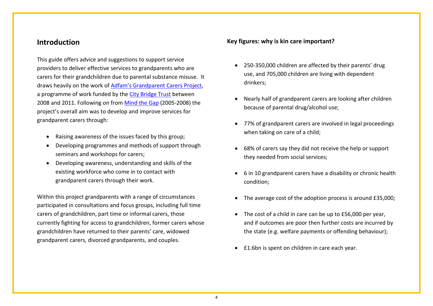# <span id="page-3-0"></span>**Introduction**

This guide offers advice and suggestions to support service providers to deliver effective services to grandparents who are carers for their grandchildren due to parental substance misuse. It draws heavily on the work of **Adfam's Grandparent Carers Project**, a programme of work funded by th[e City Bridge Trust](http://www.bridgehousegrants.org.uk/citybridgetrust/) between 2008 and 2011. Following on fro[m Mind the Gap](http://www.mentorfoundation.org/about_mentor.php?nav=3-27-34-144) (2005-2008) the project's overall aim was to develop and improve services for grandparent carers through:

- Raising awareness of the issues faced by this group;
- Developing programmes and methods of support through seminars and workshops for carers;
- Developing awareness, understanding and skills of the existing workforce who come in to contact with grandparent carers through their work.

Within this project grandparents with a range of circumstances participated in consultations and focus groups, including full time carers of grandchildren, part time or informal carers, those currently fighting for access to grandchildren, former carers whose grandchildren have returned to their parents' care, widowed grandparent carers, divorced grandparents, and couples.

# **Key figures: why is kin care important?**

- 250-350,000 children are affected by their parents' drug use, and 705,000 children are living with dependent drinkers;
- Nearly half of grandparent carers are looking after children because of parental drug/alcohol use;
- 77% of grandparent carers are involved in legal proceedings when taking on care of a child;
- 68% of carers say they did not receive the help or support they needed from social services;
- 6 in 10 grandparent carers have a disability or chronic health condition;
- The average cost of the adoption process is around £35,000;
- The cost of a child in care can be up to £56,000 per year, and if outcomes are poor then further costs are incurred by the state (e.g. welfare payments or offending behaviour);
- £1.6bn is spent on children in care each year.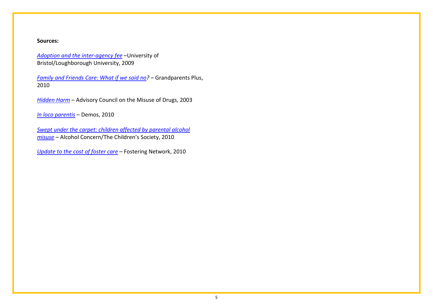#### **Sources:**

*[Adoption and the inter-agency fee](http://www.bristol.ac.uk/sps/research/projects/completed/2009/rk6582a/rk6582afinalreport.pdf)* –University of Bristol/Loughborough University, 2009

*[Family and Friends Care: What if we said no?](http://www.grandparentsplus.org.uk/publications_files/Findings2010_ONLINE_NEW.pdf) –* Grandparents Plus, 2010

*Hidden Harm* – Advisory Council on the Misuse of Drugs, 2003

*[In loco parentis](http://www.barnardos.org.uk/in_loco_parentis_-_web.pdf)* – Demos, 2010

**Swept under the carpet: children affected by parental alcohol** *[misuse](http://www.alcoholconcern.org.uk/assets/files/Publications/Swept%20under%20the%20carpet.pdf)* – Alcohol Concern/The Children's Society, 2010

*[Update to the cost of foster care](http://www.fostering.net/sites/www.fostering.net/files/resources/reports/update_cost_foster_care.pdf) –* Fostering Network, 2010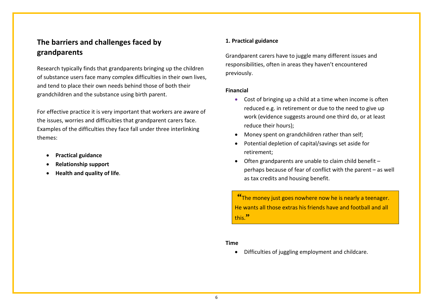# <span id="page-5-0"></span>**The barriers and challenges faced by grandparents**

Research typically finds that grandparents bringing up the children of substance users face many complex difficulties in their own lives, and tend to place their own needs behind those of both their grandchildren and the substance using birth parent.

For effective practice it is very important that workers are aware of the issues, worries and difficulties that grandparent carers face. Examples of the difficulties they face fall under three interlinking themes:

- **Practical guidance**
- **Relationship support**
- **Health and quality of life**.

# **1. Practical guidance**

Grandparent carers have to juggle many different issues and responsibilities, often in areas they haven't encountered previously.

# **Financial**

- Cost of bringing up a child at a time when income is often reduced e.g. in retirement or due to the need to give up work (evidence suggests around one third do, or at least reduce their hours);
- Money spent on grandchildren rather than self;
- Potential depletion of capital/savings set aside for retirement;
- Often grandparents are unable to claim child benefit perhaps because of fear of conflict with the parent – as well as tax credits and housing benefit.

**"**The money just goes nowhere now he is nearly a teenager. He wants all those extras his friends have and football and all this.**"**

# **Time**

• Difficulties of juggling employment and childcare.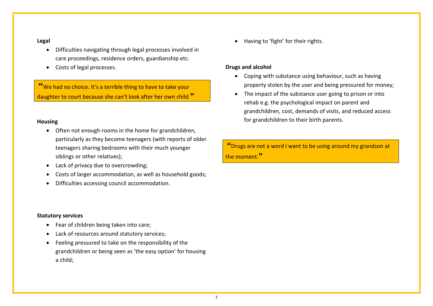## **Legal**

- Difficulties navigating through legal processes involved in care proceedings, residence orders, guardianship etc.
- Costs of legal processes.

**"**We had no choice. It's a terrible thing to have to take your daughter to court because she can't look after her own child.**"**

# **Housing**

- Often not enough rooms in the home for grandchildren, particularly as they become teenagers (with reports of older teenagers sharing bedrooms with their much younger siblings or other relatives);
- Lack of privacy due to overcrowding;
- Costs of larger accommodation, as well as household goods;
- Difficulties accessing council accommodation.

## **Statutory services**

- Fear of children being taken into care;
- Lack of resources around statutory services;
- Feeling pressured to take on the responsibility of the grandchildren or being seen as 'the easy option' for housing a child;

• Having to 'fight' for their rights.

# **Drugs and alcohol**

- Coping with substance using behaviour, such as having property stolen by the user and being pressured for money;
- The impact of the substance user going to prison or into rehab e.g. the psychological impact on parent and grandchildren, cost, demands of visits, and reduced access for grandchildren to their birth parents.

**"**Drugs are not a word I want to be using around my grandson at the moment.**"**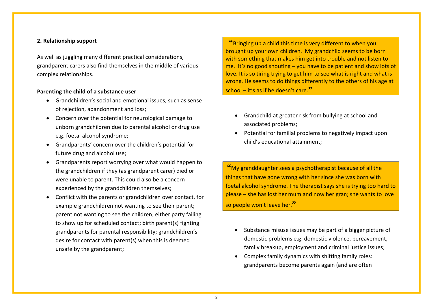# **2. Relationship support**

As well as juggling many different practical considerations, grandparent carers also find themselves in the middle of various complex relationships.

## **Parenting the child of a substance user**

- Grandchildren's social and emotional issues, such as sense of rejection, abandonment and loss;
- Concern over the potential for neurological damage to unborn grandchildren due to parental alcohol or drug use e.g. foetal alcohol syndrome;
- Grandparents' concern over the children's potential for future drug and alcohol use;
- Grandparents report worrying over what would happen to the grandchildren if they (as grandparent carer) died or were unable to parent. This could also be a concern experienced by the grandchildren themselves;
- Conflict with the parents or grandchildren over contact, for example grandchildren not wanting to see their parent; parent not wanting to see the children; either party failing to show up for scheduled contact; birth parent(s) fighting grandparents for parental responsibility; grandchildren's desire for contact with parent(s) when this is deemed unsafe by the grandparent;

**"**Bringing up a child this time is very different to when you brought up your own children. My grandchild seems to be born with something that makes him get into trouble and not listen to me. It's no good shouting – you have to be patient and show lots of love. It is so tiring trying to get him to see what is right and what is wrong. He seems to do things differently to the others of his age at school – it's as if he doesn't care.**"**

- Grandchild at greater risk from bullying at school and associated problems;
- Potential for familial problems to negatively impact upon child's educational attainment;

**"**My granddaughter sees a psychotherapist because of all the things that have gone wrong with her since she was born with foetal alcohol syndrome. The therapist says she is trying too hard to please – she has lost her mum and now her gran; she wants to love so people won't leave her.**"**

- Substance misuse issues may be part of a bigger picture of domestic problems e.g. domestic violence, bereavement, family breakup, employment and criminal justice issues;
- Complex family dynamics with shifting family roles: grandparents become parents again (and are often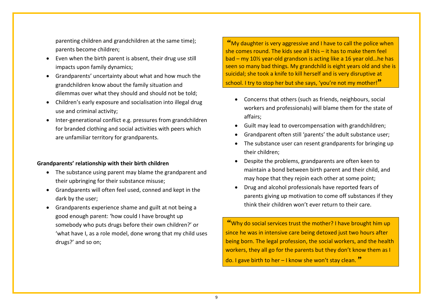parenting children and grandchildren at the same time); parents become children;

- Even when the birth parent is absent, their drug use still impacts upon family dynamics;
- Grandparents' uncertainty about what and how much the grandchildren know about the family situation and dilemmas over what they should and should not be told;
- Children's early exposure and socialisation into illegal drug use and criminal activity;
- Inter-generational conflict e.g. pressures from grandchildren for branded clothing and social activities with peers which are unfamiliar territory for grandparents.

#### **Grandparents' relationship with their birth children**

- The substance using parent may blame the grandparent and their upbringing for their substance misuse;
- Grandparents will often feel used, conned and kept in the dark by the user;
- Grandparents experience shame and guilt at not being a good enough parent: 'how could I have brought up somebody who puts drugs before their own children?' or 'what have I, as a role model, done wrong that my child uses drugs?' and so on;

**"**My daughter is very aggressive and I have to call the police when she comes round. The kids see all this – it has to make them feel bad – my 10½ year-old grandson is acting like a 16 year old…he has seen so many bad things. My grandchild is eight years old and she is suicidal; she took a knife to kill herself and is very disruptive at

school. I try to stop her but she says, 'you're not my mother!**"**

- Concerns that others (such as friends, neighbours, social workers and professionals) will blame them for the state of affairs;
- Guilt may lead to overcompensation with grandchildren;
- Grandparent often still 'parents' the adult substance user;
- The substance user can resent grandparents for bringing up their children;
- Despite the problems, grandparents are often keen to maintain a bond between birth parent and their child, and may hope that they rejoin each other at some point;
- Drug and alcohol professionals have reported fears of parents giving up motivation to come off substances if they think their children won't ever return to their care.

**"**Why do social services trust the mother? I have brought him up since he was in intensive care being detoxed just two hours after being born. The legal profession, the social workers, and the health workers, they all go for the parents but they don't know them as I do. I gave birth to her – I know she won't stay clean. **"**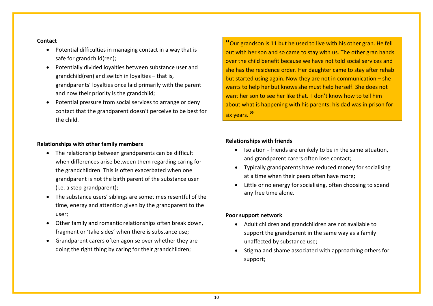## **Contact**

- Potential difficulties in managing contact in a way that is safe for grandchild(ren);
- Potentially divided loyalties between substance user and grandchild(ren) and switch in loyalties – that is, grandparents' loyalties once laid primarily with the parent and now their priority is the grandchild;
- Potential pressure from social services to arrange or deny contact that the grandparent doesn't perceive to be best for the child.

# **Relationships with other family members**

- The relationship between grandparents can be difficult when differences arise between them regarding caring for the grandchildren. This is often exacerbated when one grandparent is not the birth parent of the substance user (i.e. a step-grandparent);
- The substance users' siblings are sometimes resentful of the time, energy and attention given by the grandparent to the user;
- Other family and romantic relationships often break down, fragment or 'take sides' when there is substance use;
- Grandparent carers often agonise over whether they are doing the right thing by caring for their grandchildren;

**"**Our grandson is 11 but he used to live with his other gran. He fell out with her son and so came to stay with us. The other gran hands over the child benefit because we have not told social services and she has the residence order. Her daughter came to stay after rehab but started using again. Now they are not in communication – she wants to help her but knows she must help herself. She does not want her son to see her like that. I don't know how to tell him about what is happening with his parents; his dad was in prison for six years. **"**

# **Relationships with friends**

- Isolation friends are unlikely to be in the same situation, and grandparent carers often lose contact;
- Typically grandparents have reduced money for socialising at a time when their peers often have more;
- Little or no energy for socialising, often choosing to spend any free time alone.

#### **Poor support network**

- Adult children and grandchildren are not available to support the grandparent in the same way as a family unaffected by substance use;
- Stigma and shame associated with approaching others for support;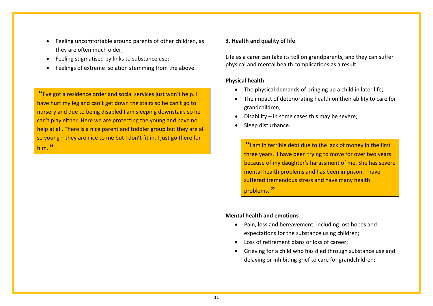- Feeling uncomfortable around parents of other children, as they are often much older;
- Feeling stigmatised by links to substance use;
- Feelings of extreme isolation stemming from the above.

**"**I've got a residence order and social services just won't help. I have hurt my leg and can't get down the stairs so he can't go to nursery and due to being disabled I am sleeping downstairs so he can't play either. Here we are protecting the young and have no help at all. There is a nice parent and toddler group but they are all so young – they are nice to me but I don't fit in, I just go there for him. **"**

# **3. Health and quality of life**

Life as a carer can take its toll on grandparents, and they can suffer physical and mental health complications as a result.

# **Physical health**

- The physical demands of bringing up a child in later life;
- The impact of deteriorating health on their ability to care for grandchildren;
- Disability in some cases this may be severe;
- Sleep disturbance.

**"**I am in terrible debt due to the lack of money in the first three years. I have been trying to move for over two years because of my daughter's harassment of me. She has severe mental health problems and has been in prison. I have suffered tremendous stress and have many health problems. **"**

# **Mental health and emotions**

- Pain, loss and bereavement, including lost hopes and expectations for the substance using children;
- Loss of retirement plans or loss of career;
- Grieving for a child who has died through substance use and delaying or inhibiting grief to care for grandchildren;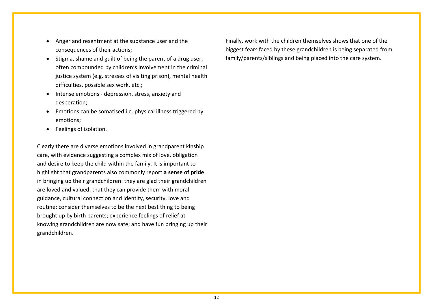- Anger and resentment at the substance user and the consequences of their actions;
- Stigma, shame and guilt of being the parent of a drug user, often compounded by children's involvement in the criminal justice system (e.g. stresses of visiting prison), mental health difficulties, possible sex work, etc.;
- Intense emotions depression, stress, anxiety and desperation;
- Emotions can be somatised i.e. physical illness triggered by emotions;
- Feelings of isolation.

Clearly there are diverse emotions involved in grandparent kinship care, with evidence suggesting a complex mix of love, obligation and desire to keep the child within the family. It is important to highlight that grandparents also commonly report **a sense of pride** in bringing up their grandchildren: they are glad their grandchildren are loved and valued, that they can provide them with moral guidance, cultural connection and identity, security, love and routine; consider themselves to be the next best thing to being brought up by birth parents; experience feelings of relief at knowing grandchildren are now safe; and have fun bringing up their grandchildren.

Finally, work with the children themselves shows that one of the biggest fears faced by these grandchildren is being separated from family/parents/siblings and being placed into the care system.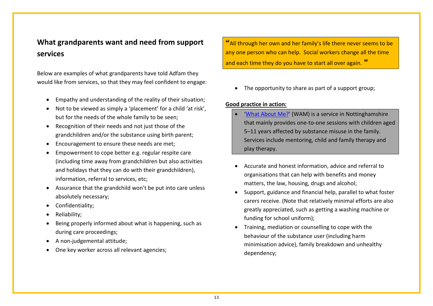# <span id="page-12-0"></span>**What grandparents want and need from support services**

Below are examples of what grandparents have told Adfam they would like from services, so that they may feel confident to engage:

- Empathy and understanding of the reality of their situation;
- Not to be viewed as simply a 'placement' for a child 'at risk', but for the needs of the whole family to be seen;
- Recognition of their needs and not just those of the grandchildren and/or the substance using birth parent;
- Encouragement to ensure these needs are met;
- Empowerment to cope better e.g. regular respite care (including time away from grandchildren but also activities and holidays that they can do with their grandchildren), information, referral to services, etc;
- Assurance that the grandchild won't be put into care unless absolutely necessary;
- Confidentiality;
- Reliability;
- Being properly informed about what is happening, such as during care proceedings;
- A non-judgemental attitude;
- One key worker across all relevant agencies;

**"**All through her own and her family's life there never seems to be any one person who can help. Social workers change all the time and each time they do you have to start all over again. **"**

• The opportunity to share as part of a support group;

# **Good practice in action:**

- '[What About Me?'](http://www.wamnotts.co.uk/) (WAM) is a service in Nottinghamshire that mainly provides one-to-one sessions with children aged 5–11 years affected by substance misuse in the family. Services include mentoring, child and family therapy and play therapy.
- Accurate and honest information, advice and referral to organisations that can help with benefits and money matters, the law, housing, drugs and alcohol;
- Support, guidance and financial help, parallel to what foster carers receive. (Note that relatively minimal efforts are also greatly appreciated, such as getting a washing machine or funding for school uniform);
- Training, mediation or counselling to cope with the behaviour of the substance user (including harm minimisation advice), family breakdown and unhealthy dependency;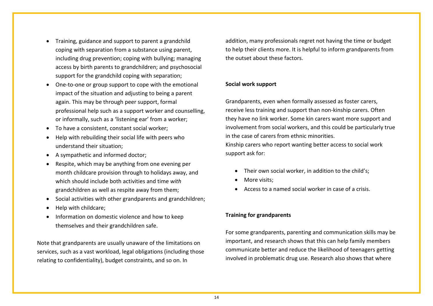- Training, guidance and support to parent a grandchild coping with separation from a substance using parent, including drug prevention; coping with bullying; managing access by birth parents to grandchildren; and psychosocial support for the grandchild coping with separation;
- One-to-one or group support to cope with the emotional impact of the situation and adjusting to being a parent again. This may be through peer support, formal professional help such as a support worker and counselling, or informally, such as a 'listening ear' from a worker;
- To have a consistent, constant social worker;
- Help with rebuilding their social life with peers who understand their situation;
- A sympathetic and informed doctor;
- Respite, which may be anything from one evening per month childcare provision through to holidays away, and which should include both activities and time *with* grandchildren as well as respite away from them;
- Social activities with other grandparents and grandchildren;
- Help with childcare;
- Information on domestic violence and how to keep themselves and their grandchildren safe.

Note that grandparents are usually unaware of the limitations on services, such as a vast workload, legal obligations (including those relating to confidentiality), budget constraints, and so on. In

addition, many professionals regret not having the time or budget to help their clients more. It is helpful to inform grandparents from the outset about these factors.

# **Social work support**

Grandparents, even when formally assessed as foster carers, receive less training and support than non-kinship carers. Often they have no link worker. Some kin carers want more support and involvement from social workers, and this could be particularly true in the case of carers from ethnic minorities. Kinship carers who report wanting better access to social work support ask for:

- Their own social worker, in addition to the child's;
- More visits:
- Access to a named social worker in case of a crisis.

# **Training for grandparents**

For some grandparents, parenting and communication skills may be important, and research shows that this can help family members communicate better and reduce the likelihood of teenagers getting involved in problematic drug use. Research also shows that where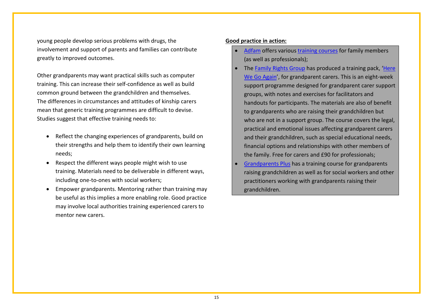young people develop serious problems with drugs, the involvement and support of parents and families can contribute greatly to improved outcomes.

Other grandparents may want practical skills such as computer training. This can increase their self-confidence as well as build common ground between the grandchildren and themselves. The differences in circumstances and attitudes of kinship carers mean that generic training programmes are difficult to devise. Studies suggest that effective training needs to:

- Reflect the changing experiences of grandparents, build on their strengths and help them to identify their own learning needs;
- Respect the different ways people might wish to use training. Materials need to be deliverable in different ways, including one-to-ones with social workers;
- Empower grandparents. Mentoring rather than training may be useful as this implies a more enabling role. Good practice may involve local authorities training experienced carers to mentor new carers.

# **Good practice in action:**

- [Adfam](http://www.adfam.org.uk/) offers various [training courses](http://www.adfam.org.uk/training) for family members (as well as professionals);
- The [Family Rights Group](http://www.frg.org.uk/) has produced a training pack, 'Here [We Go Again'](http://www.frg.org.uk/online_shop.asp), for grandparent carers. This is an eight-week support programme designed for grandparent carer support groups, with notes and exercises for facilitators and handouts for participants. The materials are also of benefit to grandparents who are raising their grandchildren but who are not in a support group. The course covers the legal, practical and emotional issues affecting grandparent carers and their grandchildren, such as special educational needs, financial options and relationships with other members of the family. Free for carers and £90 for professionals;
- [Grandparents Plus](http://www.grandparentsplus.org.uk/training.php) has a training course for grandparents raising grandchildren as well as for social workers and other practitioners working with grandparents raising their grandchildren.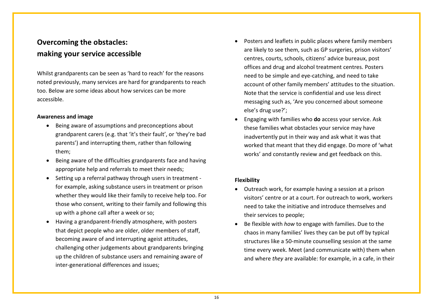# <span id="page-15-0"></span>**Overcoming the obstacles: making your service accessible**

Whilst grandparents can be seen as 'hard to reach' for the reasons noted previously, many services are hard for grandparents to reach too. Below are some ideas about how services can be more accessible.

# **Awareness and image**

- Being aware of assumptions and preconceptions about grandparent carers (e.g. that 'it's their fault', or 'they're bad parents') and interrupting them, rather than following them;
- Being aware of the difficulties grandparents face and having appropriate help and referrals to meet their needs;
- Setting up a referral pathway through users in treatment for example, asking substance users in treatment or prison whether they would like their family to receive help too. For those who consent, writing to their family and following this up with a phone call after a week or so;
- Having a grandparent-friendly atmosphere, with posters that depict people who are older, older members of staff, becoming aware of and interrupting ageist attitudes, challenging other judgements about grandparents bringing up the children of substance users and remaining aware of inter-generational differences and issues;
- Posters and leaflets in public places where family members are likely to see them, such as GP surgeries, prison visitors' centres, courts, schools, citizens' advice bureaux, post offices and drug and alcohol treatment centres. Posters need to be simple and eye-catching, and need to take account of other family members' attitudes to the situation. Note that the service is confidential and use less direct messaging such as, 'Are you concerned about someone else's drug use?';
- Engaging with families who **do** access your service. Ask these families what obstacles your service may have inadvertently put in their way and ask what it was that worked that meant that they did engage. Do more of 'what works' and constantly review and get feedback on this.

# **Flexibility**

- Outreach work, for example having a session at a prison visitors' centre or at a court. For outreach to work, workers need to take the initiative and introduce themselves and their services to people;
- Be flexible with *how* to engage with families. Due to the chaos in many families' lives they can be put off by typical structures like a 50-minute counselling session at the same time every week. Meet (and communicate with) them when and where *they* are available: for example, in a cafe, in their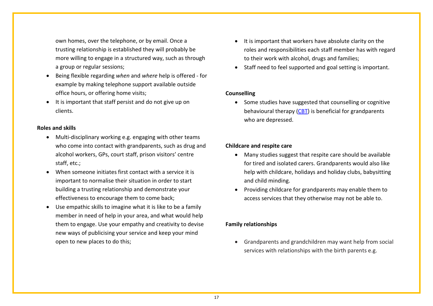own homes, over the telephone, or by email. Once a trusting relationship is established they will probably be more willing to engage in a structured way, such as through a group or regular sessions;

- Being flexible regarding *when* and *where* help is offered for example by making telephone support available outside office hours, or offering home visits;
- It is important that staff persist and do not give up on clients.

## **Roles and skills**

- Multi-disciplinary working e.g. engaging with other teams who come into contact with grandparents, such as drug and alcohol workers, GPs, court staff, prison visitors' centre staff, etc.;
- When someone initiates first contact with a service it is important to normalise their situation in order to start building a trusting relationship and demonstrate your effectiveness to encourage them to come back;
- Use empathic skills to imagine what it is like to be a family member in need of help in your area, and what would help them to engage. Use your empathy and creativity to devise new ways of publicising your service and keep your mind open to new places to do this;
- It is important that workers have absolute clarity on the roles and responsibilities each staff member has with regard to their work with alcohol, drugs and families;
- Staff need to feel supported and goal setting is important.

# **Counselling**

• Some studies have suggested that counselling or cognitive behavioural therapy [\(CBT\)](http://www.rcpsych.ac.uk/mentalhealthinfoforall/treatments/cbt.aspx) is beneficial for grandparents who are depressed.

# **Childcare and respite care**

- Many studies suggest that respite care should be available for tired and isolated carers. Grandparents would also like help with childcare, holidays and holiday clubs, babysitting and child minding.
- Providing childcare for grandparents may enable them to access services that they otherwise may not be able to.

# **Family relationships**

• Grandparents and grandchildren may want help from social services with relationships with the birth parents e.g.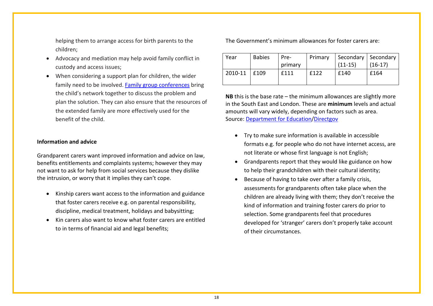helping them to arrange access for birth parents to the children;

- Advocacy and mediation may help avoid family conflict in custody and access issues;
- When considering a support plan for children, the wider family need to be involved. [Family group conferences](http://www.frg.org.uk/pdfs/FGC%20Principles%20and%20Practice%20Guidance.pdf) bring the child's network together to discuss the problem and plan the solution. They can also ensure that the resources of the extended family are more effectively used for the benefit of the child.

#### **Information and advice**

Grandparent carers want improved information and advice on law, benefits entitlements and complaints systems; however they may not want to ask for help from social services because they dislike the intrusion, or worry that it implies they can't cope.

- Kinship carers want access to the information and guidance that foster carers receive e.g. on parental responsibility, discipline, medical treatment, holidays and babysitting;
- Kin carers also want to know what foster carers are entitled to in terms of financial aid and legal benefits;

The Government's minimum allowances for foster carers are:

| Year    | <b>Babies</b> | Pre-<br>primary | Primary | Secondary   Secondary<br>$(11 - 15)$ | $(16-17)$ |
|---------|---------------|-----------------|---------|--------------------------------------|-----------|
| 2010-11 | f109          | f111            | f122    | £140                                 | £164      |

**NB** this is the base rate – the minimum allowances are slightly more in the South East and London. These are **minimum** levels and actual amounts will vary widely, depending on factors such as area. Source: [Department for Education](http://dfe.gov.uk/childrenandyoungpeople/families/childrenincare/fostercare/a0071241/support-for-foster-carers)[/Directgov](http://www.direct.gov.uk/en/Parents/Adoptionfosteringandchildrenincare/Fostering/DG_10027536)

- Try to make sure information is available in accessible formats e.g. for people who do not have internet access, are not literate or whose first language is not English;
- Grandparents report that they would like guidance on how to help their grandchildren with their cultural identity;
- Because of having to take over after a family crisis, assessments for grandparents often take place when the children are already living with them; they don't receive the kind of information and training foster carers do prior to selection. Some grandparents feel that procedures developed for 'stranger' carers don't properly take account of their circumstances.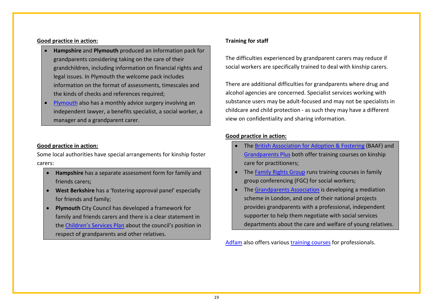# **Good practice in action:**

- **Hampshire** and **Plymouth** produced an information pack for grandparents considering taking on the care of their grandchildren, including information on financial rights and legal issues. In Plymouth the welcome pack includes information on the format of assessments, timescales and the kinds of checks and references required;
- [Plymouth](http://www.plymouth.gov.uk/homepage/education/earlyyearsandchildcare/childrenscentres/plymstockchildrenscentre/plymstockcctoddler.htm) also has a monthly advice surgery involving an independent lawyer, a benefits specialist, a social worker, a manager and a grandparent carer.

# **Good practice in action:**

Some local authorities have special arrangements for kinship foster carers:

- **Hampshire** has a separate assessment form for family and friends carers;
- **West Berkshire** has a 'fostering approval panel' especially for friends and family;
- **Plymouth** City Council has developed a framework for family and friends carers and there is a clear statement in the [Children's Services Plan](http://www.plymouth.gov.uk/homepage/socialcareandhealth/childrenssocialcare/pcypt/cypp.htm) about the council's position in respect of grandparents and other relatives.

# **Training for staff**

The difficulties experienced by grandparent carers may reduce if social workers are specifically trained to deal with kinship carers.

There are additional difficulties for grandparents where drug and alcohol agencies are concerned. Specialist services working with substance users may be adult-focused and may not be specialists in childcare and child protection - as such they may have a different view on confidentiality and sharing information.

# **Good practice in action:**

- The [British Association for Adoption & Fostering](http://www.baaf.org.uk/training) (BAAF) and [Grandparents Plus](http://www.grandparentsplus.org.uk/training.php) both offer training courses on kinship care for practitioners;
- The [Family Rights Group](http://www.frg.org.uk/) runs training courses in family group conferencing (FGC) for social workers;
- The [Grandparents Association](http://www.grandparents-association.org.uk/index.php) is developing a mediation scheme in London, and one of their national projects provides grandparents with a professional, independent supporter to help them negotiate with social services departments about the care and welfare of young relatives.

[Adfam](http://www.adfam.org.uk/) also offers various [training courses](http://www.adfam.org.uk/training) for professionals.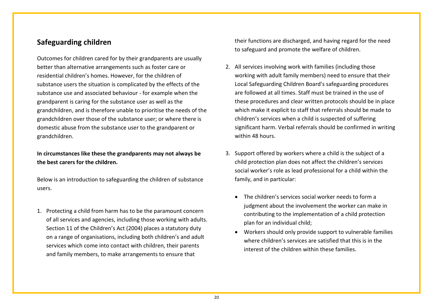# <span id="page-19-0"></span>**Safeguarding children**

Outcomes for children cared for by their grandparents are usually better than alternative arrangements such as foster care or residential children's homes. However, for the children of substance users the situation is complicated by the effects of the substance use and associated behaviour - for example when the grandparent is caring for the substance user as well as the grandchildren, and is therefore unable to prioritise the needs of the grandchildren over those of the substance user; or where there is domestic abuse from the substance user to the grandparent or grandchildren.

# **In circumstances like these the grandparents may not always be the best carers for the children.**

Below is an introduction to safeguarding the children of substance users.

1. Protecting a child from harm has to be the paramount concern of all services and agencies, including those working with adults. Section 11 of the Children's Act (2004) places a statutory duty on a range of organisations, including both children's and adult services which come into contact with children, their parents and family members, to make arrangements to ensure that

their functions are discharged, and having regard for the need to safeguard and promote the welfare of children.

- 2. All services involving work with families (including those working with adult family members) need to ensure that their Local Safeguarding Children Board's safeguarding procedures are followed at all times. Staff must be trained in the use of these procedures and clear written protocols should be in place which make it explicit to staff that referrals should be made to children's services when a child is suspected of suffering significant harm. Verbal referrals should be confirmed in writing within 48 hours.
- 3. Support offered by workers where a child is the subject of a child protection plan does not affect the children's services social worker's role as lead professional for a child within the family, and in particular:
	- The children's services social worker needs to form a judgment about the involvement the worker can make in contributing to the implementation of a child protection plan for an individual child;
	- Workers should only provide support to vulnerable families where children's services are satisfied that this is in the interest of the children within these families.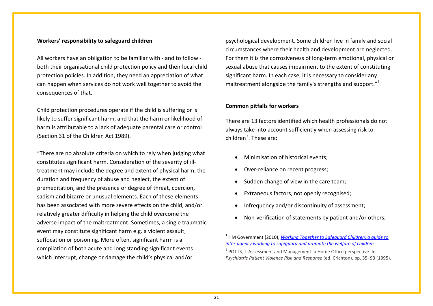#### **Workers' responsibility to safeguard children**

All workers have an obligation to be familiar with - and to follow both their organisational child protection policy and their local child protection policies. In addition, they need an appreciation of what can happen when services do not work well together to avoid the consequences of that.

Child protection procedures operate if the child is suffering or is likely to suffer significant harm, and that the harm or likelihood of harm is attributable to a lack of adequate parental care or control (Section 31 of the Children Act 1989).

"There are no absolute criteria on which to rely when judging what constitutes significant harm. Consideration of the severity of illtreatment may include the degree and extent of physical harm, the duration and frequency of abuse and neglect, the extent of premeditation, and the presence or degree of threat, coercion, sadism and bizarre or unusual elements. Each of these elements has been associated with more severe effects on the child, and/or relatively greater difficulty in helping the child overcome the adverse impact of the maltreatment. Sometimes, a single traumatic event may constitute significant harm e.g. a violent assault, suffocation or poisoning. More often, significant harm is a compilation of both acute and long standing significant events which interrupt, change or damage the child's physical and/or

<span id="page-20-1"></span><span id="page-20-0"></span>psychological development. Some children live in family and social circumstances where their health and development are neglected. For them it is the corrosiveness of long-term emotional, physical or sexual abuse that causes impairment to the extent of constituting significant harm. In each case, it is necessary to consider any maltreatment alongside the family's strengths and support."<sup>[1](#page-20-0)</sup>

### **Common pitfalls for workers**

There are 13 factors identified which health professionals do not always take into account sufficiently when assessing risk to children<sup>[2](#page-20-1)</sup>. These are:

- Minimisation of historical events;
- Over-reliance on recent progress;
- Sudden change of view in the care team:
- Extraneous factors, not openly recognised;
- Infrequency and/or discontinuity of assessment;
- Non-verification of statements by patient and/or others;

<sup>1</sup> HM Government (2010), *[Working Together to Safeguard Children: a guide to](https://www.education.gov.uk/publications/eOrderingDownload/00305-2010DOM-EN.pdf)  [inter-agency working to safeguard and promote the welfare of children](https://www.education.gov.uk/publications/eOrderingDownload/00305-2010DOM-EN.pdf)*

 $2$  POTTS, J. Assessment and Management: a Home Office perspective. In *Psychiatric Patient Violence Risk and Response* (ed. Crichton), pp. 35–93 (1995).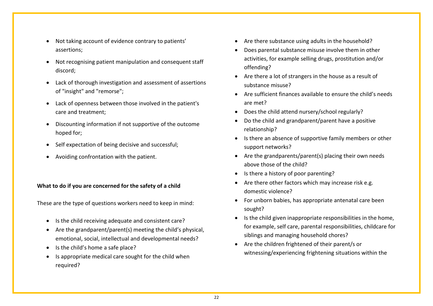- Not taking account of evidence contrary to patients' assertions;
- Not recognising patient manipulation and consequent staff discord;
- Lack of thorough investigation and assessment of assertions of "insight" and "remorse";
- Lack of openness between those involved in the patient's care and treatment;
- Discounting information if not supportive of the outcome hoped for;
- Self expectation of being decisive and successful;
- Avoiding confrontation with the patient.

# **What to do if you are concerned for the safety of a child**

These are the type of questions workers need to keep in mind:

- Is the child receiving adequate and consistent care?
- Are the grandparent/parent(s) meeting the child's physical, emotional, social, intellectual and developmental needs?
- Is the child's home a safe place?
- Is appropriate medical care sought for the child when required?
- Are there substance using adults in the household?
- Does parental substance misuse involve them in other activities, for example selling drugs, prostitution and/or offending?
- Are there a lot of strangers in the house as a result of substance misuse?
- Are sufficient finances available to ensure the child's needs are met?
- Does the child attend nursery/school regularly?
- Do the child and grandparent/parent have a positive relationship?
- Is there an absence of supportive family members or other support networks?
- Are the grandparents/parent(s) placing their own needs above those of the child?
- Is there a history of poor parenting?
- Are there other factors which may increase risk e.g. domestic violence?
- For unborn babies, has appropriate antenatal care been sought?
- Is the child given inappropriate responsibilities in the home, for example, self care, parental responsibilities, childcare for siblings and managing household chores?
- Are the children frightened of their parent/s or witnessing/experiencing frightening situations within the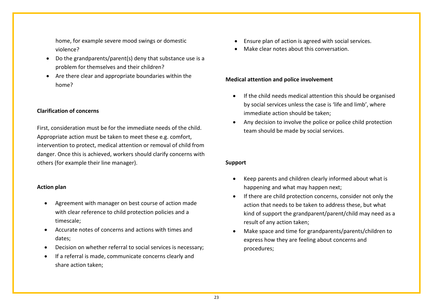home, for example severe mood swings or domestic violence?

- Do the grandparents/parent(s) deny that substance use is a problem for themselves and their children?
- Are there clear and appropriate boundaries within the home?

## **Clarification of concerns**

First, consideration must be for the immediate needs of the child. Appropriate action must be taken to meet these e.g. comfort, intervention to protect, medical attention or removal of child from danger. Once this is achieved, workers should clarify concerns with others (for example their line manager).

## **Action plan**

- Agreement with manager on best course of action made with clear reference to child protection policies and a timescale;
- Accurate notes of concerns and actions with times and dates;
- Decision on whether referral to social services is necessary;
- If a referral is made, communicate concerns clearly and share action taken;
- Ensure plan of action is agreed with social services.
- Make clear notes about this conversation.

# **Medical attention and police involvement**

- If the child needs medical attention this should be organised by social services unless the case is 'life and limb', where immediate action should be taken;
- Any decision to involve the police or police child protection team should be made by social services.

# **Support**

- Keep parents and children clearly informed about what is happening and what may happen next;
- If there are child protection concerns, consider not only the action that needs to be taken to address these, but what kind of support the grandparent/parent/child may need as a result of any action taken;
- Make space and time for grandparents/parents/children to express how they are feeling about concerns and procedures;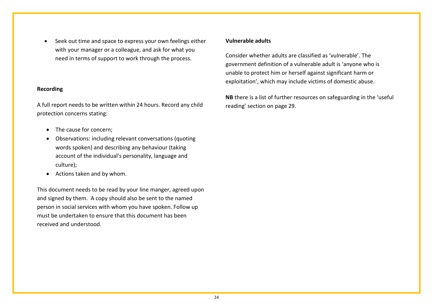Seek out time and space to express your own feelings either with your manager or a colleague, and ask for what you need in terms of support to work through the process.

# **Recording**

A full report needs to be written within 24 hours. Record any child protection concerns stating:

- The cause for concern:
- Observations: including relevant conversations (quoting words spoken) and describing any behaviour (taking account of the individual's personality, language and culture);
- Actions taken and by whom.

This document needs to be read by your line manger, agreed upon and signed by them. A copy should also be sent to the named person in social services with whom you have spoken. Follow up must be undertaken to ensure that this document has been received and understood.

## **Vulnerable adults**

Consider whether adults are classified as 'vulnerable'. The government definition of a vulnerable adult is 'anyone who is unable to protect him or herself against significant harm or exploitation', which may include victims of domestic abuse.

**NB** there is a list of further resources on safeguarding in the 'useful reading' section on page 29.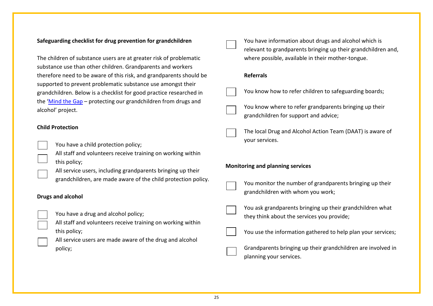# **Safeguarding checklist for drug prevention for grandchildren**

The children of substance users are at greater risk of problematic substance use than other children. Grandparents and workers therefore need to be aware of this risk, and grandparents should be supported to prevent problematic substance use amongst their grandchildren. Below is a checklist for good practice researched in the ['Mind the Gap](http://www.mentorfoundation.org/about_mentor.php?nav=3-27-34-144) – protecting our grandchildren from drugs and alcohol' project.

# **Child Protection**

You have a child protection policy;

All staff and volunteers receive training on working within this policy;

All service users, including grandparents bringing up their grandchildren, are made aware of the child protection policy.

# **Drugs and alcohol**

You have a drug and alcohol policy;

All staff and volunteers receive training on working within this policy;

All service users are made aware of the drug and alcohol policy;

You have information about drugs and alcohol which is relevant to grandparents bringing up their grandchildren and, where possible, available in their mother-tongue. **Referrals** You know how to refer children to safeguarding boards; You know where to refer grandparents bringing up their grandchildren for support and advice;

> The local Drug and Alcohol Action Team (DAAT) is aware of your services.

# **Monitoring and planning services**

You monitor the number of grandparents bringing up their grandchildren with whom you work;



You ask grandparents bringing up their grandchildren what they think about the services you provide;

You use the information gathered to help plan your services;

Grandparents bringing up their grandchildren are involved in planning your services.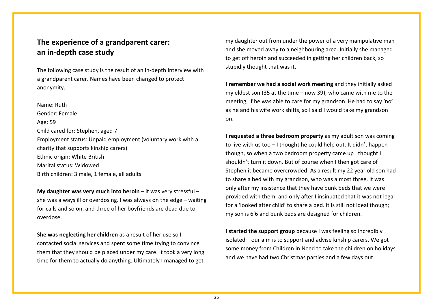# <span id="page-25-0"></span>**The experience of a grandparent carer: an in-depth case study**

The following case study is the result of an in-depth interview with a grandparent carer. Names have been changed to protect anonymity.

Name: Ruth Gender: Female Age: 59 Child cared for: Stephen, aged 7 Employment status: Unpaid employment (voluntary work with a charity that supports kinship carers) Ethnic origin: White British Marital status: Widowed Birth children: 3 male, 1 female, all adults

**My daughter was very much into heroin** – it was very stressful – she was always ill or overdosing. I was always on the edge – waiting for calls and so on, and three of her boyfriends are dead due to overdose.

**She was neglecting her children** as a result of her use so I contacted social services and spent some time trying to convince them that they should be placed under my care. It took a very long time for them to actually do anything. Ultimately I managed to get

my daughter out from under the power of a very manipulative man and she moved away to a neighbouring area. Initially she managed to get off heroin and succeeded in getting her children back, so I stupidly thought that was it.

**I remember we had a social work meeting** and they initially asked my eldest son (35 at the time – now 39), who came with me to the meeting, if he was able to care for my grandson. He had to say 'no' as he and his wife work shifts, so I said I would take my grandson on.

**I requested a three bedroom property** as my adult son was coming to live with us too – I thought he could help out. It didn't happen though, so when a two bedroom property came up I thought I shouldn't turn it down. But of course when I then got care of Stephen it became overcrowded. As a result my 22 year old son had to share a bed with my grandson, who was almost three. It was only after my insistence that they have bunk beds that we were provided with them, and only after I insinuated that it was not legal for a 'looked after child' to share a bed. It is still not ideal though; my son is 6'6 and bunk beds are designed for children.

**I started the support group** because I was feeling so incredibly isolated – our aim is to support and advise kinship carers. We got some money from Children in Need to take the children on holidays and we have had two Christmas parties and a few days out.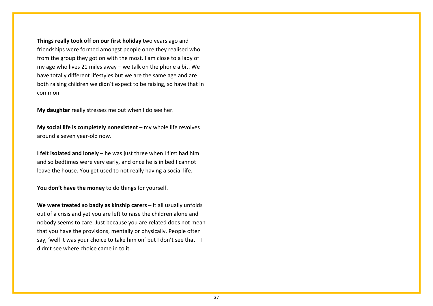**Things really took off on our first holiday** two years ago and friendships were formed amongst people once they realised who from the group they got on with the most. I am close to a lady of my age who lives 21 miles away – we talk on the phone a bit. We have totally different lifestyles but we are the same age and are both raising children we didn't expect to be raising, so have that in common.

**My daughter** really stresses me out when I do see her.

**My social life is completely nonexistent** – my whole life revolves around a seven year-old now.

**I felt isolated and lonely** – he was just three when I first had him and so bedtimes were very early, and once he is in bed I cannot leave the house. You get used to not really having a social life.

**You don't have the money** to do things for yourself.

**We were treated so badly as kinship carers** – it all usually unfolds out of a crisis and yet you are left to raise the children alone and nobody seems to care. Just because you are related does not mean that you have the provisions, mentally or physically. People often say, 'well it was your choice to take him on' but I don't see that – I didn't see where choice came in to it.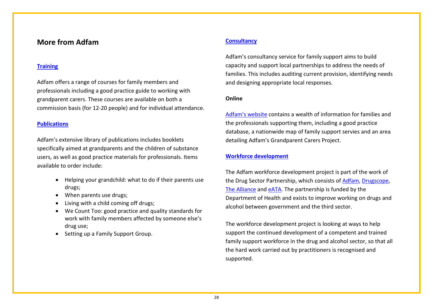# <span id="page-27-0"></span>**More from Adfam**

#### **[Training](http://www.adfam.org.uk/training)**

Adfam offers a range of courses for family members and professionals including a good practice guide to working with grandparent carers. These courses are available on both a commission basis (for 12-20 people) and for individual attendance.

#### **[Publications](http://www.adfam.org.uk/publications)**

Adfam's extensive library of publications includes booklets specifically aimed at grandparents and the children of substance users, as well as good practice materials for professionals. Items available to order include:

- Helping your grandchild: what to do if their parents use drugs;
- When parents use drugs;
- Living with a child coming off drugs;
- We Count Too: good practice and quality standards for work with family members affected by someone else's drug use;
- Setting up a Family Support Group.

# **[Consultancy](http://www.adfam.org.uk/training/consultancy)**

Adfam's consultancy service for family support aims to build capacity and support local partnerships to address the needs of families. This includes auditing current provision, identifying needs and designing appropriate local responses.

#### **Online**

[Adfam's website](http://www.adfam.org.uk/) contains a wealth of information for families and the professionals supporting them, including a good practice database, a nationwide map of family support servies and an area detailing Adfam's Grandparent Carers Project.

#### **[Workforce development](http://www.adfam.org.uk/about_us/projects/workforce_development)**

The Adfam workforce development project is part of the work of the Drug Sector Partnership, which consists of [Adfam,](http://www.adfam.org.uk/) [Drugscope,](http://www.drugscope.org.uk/#_blank) [The Alliance](http://www.m-alliance.org.uk/#_blank) and [eATA.](http://www.eata.org.uk/#_blank) The partnership is funded by the Department of Health and exists to improve working on drugs and alcohol between government and the third sector.

The workforce development project is looking at ways to help support the continued development of a competent and trained family support workforce in the drug and alcohol sector, so that all the hard work carried out by practitioners is recognised and supported.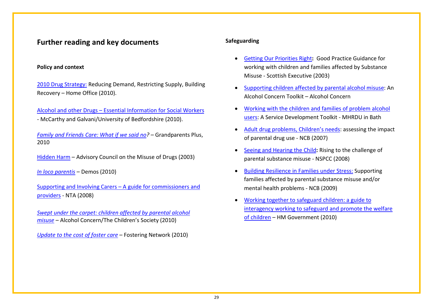# <span id="page-28-0"></span>**Further reading and key documents**

## **Policy and context**

[2010 Drug Strategy:](http://www.homeoffice.gov.uk/publications/drugs/drug-strategy/drug-strategy-2010?view=Binary) Reducing Demand, Restricting Supply, Building Recovery – Home Office (2010).

Alcohol and other Drugs – [Essential Information for Social Workers](http://dl.dropbox.com/u/3522570/networks/alcdrugs/alcdrugspocketguide.pdf) *-* McCarthy and Galvani/University of Bedfordshire (2010).

*[Family and Friends Care: What if we said no?](http://www.grandparentsplus.org.uk/publications_files/Findings2010_ONLINE_NEW.pdf) –* Grandparents Plus, 2010

Hidden Harm – Advisory Council on the Misuse of Drugs (2003)

*[In loco parentis](http://www.barnardos.org.uk/in_loco_parentis_-_web.pdf)* – Demos (2010)

[Supporting and Involving Carers –](http://www.nta.nhs.uk/uploads/supporting_and_involving_carers2008_0509.pdf) A guide for commissioners and [providers](http://www.nta.nhs.uk/uploads/supporting_and_involving_carers2008_0509.pdf) - NTA (2008)

*[Swept under the carpet: children affected by parental alcohol](http://www.alcoholconcern.org.uk/assets/files/Publications/Swept%20under%20the%20carpet.pdf)  [misuse](http://www.alcoholconcern.org.uk/assets/files/Publications/Swept%20under%20the%20carpet.pdf)* – Alcohol Concern/The Children's Society (2010)

*[Update to the cost of foster care](http://www.fostering.net/sites/www.fostering.net/files/resources/reports/update_cost_foster_care.pdf) –* Fostering Network (2010)

# **Safeguarding**

- [Getting Our Priorities Right](http://www.scotland.gov.uk/Publications/2003/02/16469/18726)**:** Good Practice Guidance for working with children and families affected by Substance Misuse - Scottish Executive (2003)
- [Supporting children affected by parental alcohol misuse:](http://www.alcoholandfamilies.org.uk/toolkits.htm) An Alcohol Concern Toolkit – Alcohol Concern
- [Working with the children and families of problem alcohol](http://www.bath.ac.uk/health/pdf/introduction.pdf)  [users:](http://www.bath.ac.uk/health/pdf/introduction.pdf) A Service Development Toolkit - MHRDU in Bath
- [Adult drug problems, Children's needs:](http://www.ncb.org.uk/campaigning/media_news/2007_jan_to_jun/toolkit_drugs.aspx) assessing the impact of parental drug use - NCB (2007)
- [Seeing and Hearing the Child](http://www.nspcc.org.uk/Inform/trainingandconsultancy/learningresources/seeingandhearing_wda56195.html)**:** Rising to the challenge of parental substance misuse - NSPCC (2008)
- Building Resilience [in Families under Stress:](http://www.ncb.org.uk/campaigning/media_news/2009_jan_to_jun/building_resilience.aspx) Supporting families affected by parental substance misuse and/or mental health problems - NCB (2009)
- [Working together to safeguard children: a guide to](http://www.workingtogetheronline.co.uk/wt_2010.PDF)  [interagency working to safeguard and promote the welfare](http://www.workingtogetheronline.co.uk/wt_2010.PDF)  [of children](http://www.workingtogetheronline.co.uk/wt_2010.PDF) – HM Government (2010)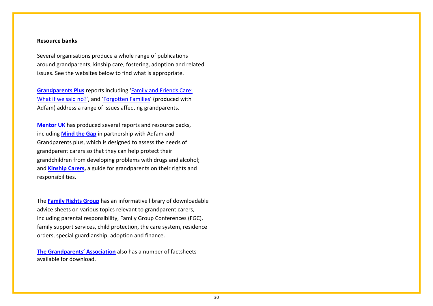#### **Resource banks**

Several organisations produce a whole range of publications around grandparents, kinship care, fostering, adoption and related issues. See the websites below to find what is appropriate.

**[Grandparents Plus](http://www.grandparentsplus.org.uk/reports.php)** reports including ['Family and Friends Care:](http://www.grandparentsplus.org.uk/publications_files/Findings2010_ONLINE_NEW.pdf)  [What if we said no?'](http://www.grandparentsplus.org.uk/publications_files/Findings2010_ONLINE_NEW.pdf), and ['Forgotten Families'](http://www.grandparentsplus.org.uk/publications_files/Forgotten%20Families%20Full%20Report.pdf) (produced with Adfam) address a range of issues affecting grandparents.

**[Mentor UK](http://www.mentorfoundation.org/index.php)** has produced several reports and resource packs, including **[Mind the Gap](http://www.mentorfoundation.org/about_mentor.php?nav=3-27-34-144)** in partnership with Adfam and Grandparents plus, which is designed to assess the needs of grandparent carers so that they can help protect their grandchildren from developing problems with drugs and alcohol; and **[Kinship Carers,](http://www.eukinshipcarers.eu/wp-content/uploads/2010/05/Kinship-Care-insides-final-3-for-proof.pdf)** a guide for grandparents on their rights and responsibilities.

The **[Family Rights Group](http://www.frg.org.uk/advice_sheets.html)** has an informative library of downloadable advice sheets on various topics relevant to grandparent carers, including parental responsibility, Family Group Conferences (FGC), family support services, child protection, the care system, residence orders, special guardianship, adoption and finance.

**[The Grandparents' Association](http://www.grandparents-association.org.uk/index.php?option=com_content&view=article&id=13&Itemid=29)** also has a number of factsheets available for download.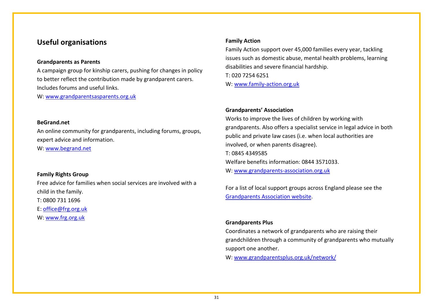# <span id="page-30-0"></span>**Useful organisations**

# **Grandparents as Parents**

A campaign group for kinship carers, pushing for changes in policy to better reflect the contribution made by grandparent carers. Includes forums and useful links.

W: [www.grandparentsasparents.org.uk](http://www.grandparentsasparents.org.uk/)

#### **BeGrand.net**

An online community for grandparents, including forums, groups, expert advice and information.

W: [www.begrand.net](http://www.begrand.net/)

#### **Family Rights Group**

Free advice for families when social services are involved with a child in the family.

T: 0800 731 1696

E: [office@frg.org.uk](mailto:office@frg.org.uk)

W: [www.frg.org.uk](http://www.frg.org.uk/)

## **Family Action**

Family Action support over 45,000 families every year, tackling issues such as domestic abuse, mental health problems, learning disabilities and severe financial hardship. T: 020 7254 6251 W: [www.family-action.org.uk](http://www.family-action.org.uk/)

# **Grandparents' Association**

Works to improve the lives of children by working with grandparents. Also offers a specialist service in legal advice in both public and private law cases (i.e. when local authorities are involved, or when parents disagree). T: 0845 4349585 Welfare benefits information: 0844 3571033. W: [www.grandparents-association.org.uk](http://www.grandparents-association.org.uk/)

For a list of local support groups across England please see the [Grandparents Association website.](http://www.grandparents-association.org.uk/index.php?option=com_content&view=article&id=21&Itemid=53)

# **Grandparents Plus**

Coordinates a network of grandparents who are raising their grandchildren through a community of grandparents who mutually support one another.

W: [www.grandparentsplus.org.uk/network/](http://www.grandparentsplus.org.uk/network/)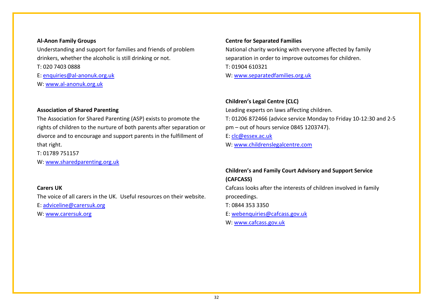## **Al-Anon Family Groups**

Understanding and support for families and friends of problem drinkers, whether the alcoholic is still drinking or not.

T: 020 7403 0888

E: [enquiries@al-anonuk.org.uk](mailto:enquiries@al-anonuk.org.uk)

W: [www.al-anonuk.org.uk](http://www.al-anonuk.org.uk/)

# **Association of Shared Parenting**

The Association for Shared Parenting (ASP) exists to promote the rights of children to the nurture of both parents after separation or divorce and to encourage and support parents in the fulfillment of that right.

T: 01789 751157

W: [www.sharedparenting.org.uk](http://www.sharedparenting.org.uk/) 

## **Carers UK**

The voice of all carers in the UK. Useful resources on their website.

E: [adviceline@carersuk.org](mailto:adviceline@carersuk.org) 

W: [www.carersuk.org](http://www.carersuk.org/)

# **Centre for Separated Families**

National charity working with everyone affected by family separation in order to improve outcomes for children. T: 01904 610321 W: [www.separatedfamilies.org.uk](http://www.separatedfamilies.org.uk/) 

# **Children's Legal Centre (CLC)**

Leading experts on laws affecting children. T: 01206 872466 (advice service Monday to Friday 10-12:30 and 2-5 pm – out of hours service 0845 1203747). E: [clc@essex.ac.uk](mailto:clc@essex.ac.uk) 

W: [www.childrenslegalcentre.com](http://www.childrenslegalcentre.com/)

# **Children's and Family Court Advisory and Support Service (CAFCASS)**

Cafcass looks after the interests of children involved in family proceedings.

T: 0844 353 3350

E: [webenquiries@cafcass.gov.uk](mailto:webenquiries@cafcass.gov.uk)

W: [www.cafcass.gov.uk](http://www.cafcass.gov.uk/)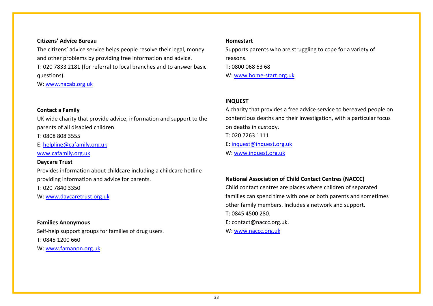## **Citizens' Advice Bureau**

The citizens' advice service helps people resolve their legal, money and other problems by providing free information and advice.

T: 020 7833 2181 (for referral to local branches and to answer basic questions).

W: [www.nacab.org.uk](http://www.nacab.org.uk/)

## **Contact a Family**

UK wide charity that provide advice, information and support to the parents of all disabled children.

T: 0808 808 3555

E: [helpline@cafamily.org.uk](mailto:helpline@cafamily.org.uk)

[www.cafamily.org.uk](http://www.cafamily.org.uk/)

## **Daycare Trust**

Provides information about childcare including a childcare hotline providing information and advice for parents. T: 020 7840 3350

W: [www.daycaretrust.org.uk](http://www.daycaretrust.org.uk/)

**Families Anonymous** Self-help support groups for families of drug users. T: 0845 1200 660 W: [www.famanon.org.uk](http://www.famanon.org.uk/)

#### **Homestart**

Supports parents who are struggling to cope for a variety of reasons. T: 0800 068 63 68 W: [www.home-start.org.uk](http://www.home-start.org.uk/)

#### **INQUEST**

A charity that provides a free advice service to bereaved people on contentious deaths and their investigation, with a particular focus on deaths in custody. T: 020 7263 1111 E: [inquest@inquest.org.uk](mailto:inquest@inquest.org.uk) W: [www.inquest.org.uk](http://www.inquest.org.uk/)

# **National Association of Child Contact Centres (NACCC)**

Child contact centres are places where children of separated families can spend time with one or both parents and sometimes other family members. Includes a network and support. T: 0845 4500 280. E: contact@naccc.org.uk. W: [www.naccc.org.uk](http://www.naccc.org.uk/)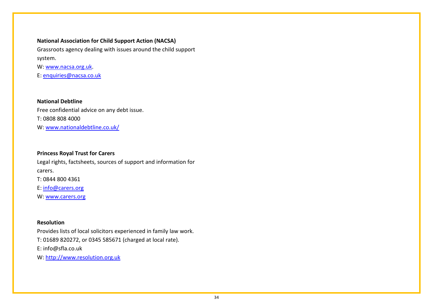# **National Association for Child Support Action (NACSA)**

Grassroots agency dealing with issues around the child support system.

W: [www.nacsa.org.uk.](http://www.nacsa.org.uk/)

E: [enquiries@nacsa.co.uk](mailto:enquiries@nacsa.co.uk) 

**National Debtline** Free confidential advice on any debt issue. T: 0808 808 4000 W: [www.nationaldebtline.co.uk/](http://www.nationaldebtline.co.uk/)

# **Princess Royal Trust for Carers**

Legal rights, factsheets, sources of support and information for carers. T: 0844 800 4361 E: [info@carers.org](mailto:info@carers.org)

W: [www.carers.org](http://www.carers.org/)

# **Resolution**

Provides lists of local solicitors experienced in family law work. T: 01689 820272, or 0345 585671 (charged at local rate). E: info@sfla.co.uk W: [http://www.resolution.org.uk](http://www.resolution.org.uk/)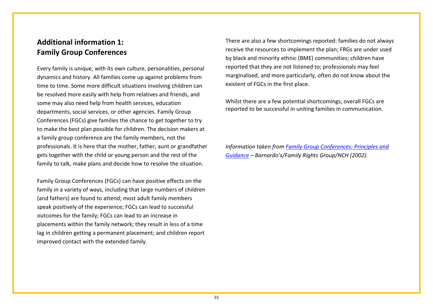# <span id="page-34-0"></span>**Additional information 1: Family Group Conferences**

Every family is unique, with its own culture, personalities, personal dynamics and history. All families come up against problems from time to time. Some more difficult situations involving children can be resolved more easily with help from relatives and friends, and some may also need help from health services, education departments, social services, or other agencies. Family Group Conferences (FGCs) give families the chance to get together to try to make the best plan possible for children. The decision makers at a family group conference are the family members, not the professionals. It is here that the mother, father, aunt or grandfather gets together with the child or young person and the rest of the family to talk, make plans and decide how to resolve the situation.

Family Group Conferences (FGCs) can have positive effects on the family in a variety of ways, including that large numbers of children (and fathers) are found to attend; most adult family members speak positively of the experience; FGCs can lead to successful outcomes for the family; FGCs can lead to an increase in placements within the family network; they result in less of a time lag in children getting a permanent placement; and children report improved contact with the extended family.

There are also a few shortcomings reported: families do not always receive the resources to implement the plan; FRGs are under used by black and minority ethnic (BME) communities; children have reported that they are not listened to; professionals may feel marginalised, and more particularly, often do not know about the existent of FGCs in the first place.

Whilst there are a few potential shortcomings, overall FGCs are reported to be successful in uniting families in communication.

*Information taken from [Family Group Conferences: Principles and](http://www.frg.org.uk/pdfs/FGC%20Principles%20and%20Practice%20Guidance.pdf)  [Guidance](http://www.frg.org.uk/pdfs/FGC%20Principles%20and%20Practice%20Guidance.pdf) – Barnardo's/Family Rights Group/NCH (2002).*